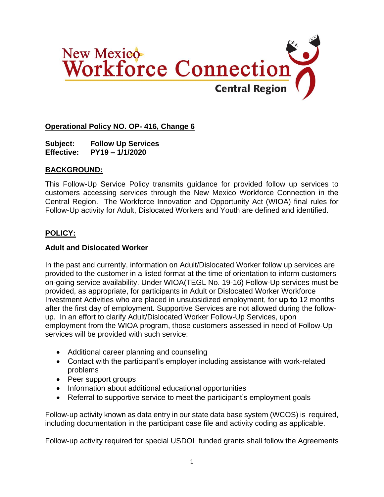

## **Operational Policy NO. OP- 416, Change 6**

**Subject: Follow Up Services Effective: PY19 – 1/1/2020**

#### **BACKGROUND:**

This Follow-Up Service Policy transmits guidance for provided follow up services to customers accessing services through the New Mexico Workforce Connection in the Central Region. The Workforce Innovation and Opportunity Act (WIOA) final rules for Follow-Up activity for Adult, Dislocated Workers and Youth are defined and identified.

### **POLICY:**

#### **Adult and Dislocated Worker**

In the past and currently, information on Adult/Dislocated Worker follow up services are provided to the customer in a listed format at the time of orientation to inform customers on-going service availability. Under WIOA(TEGL No. 19-16) Follow-Up services must be provided, as appropriate, for participants in Adult or Dislocated Worker Workforce Investment Activities who are placed in unsubsidized employment, for **up to** 12 months after the first day of employment. Supportive Services are not allowed during the followup. In an effort to clarify Adult/Dislocated Worker Follow-Up Services, upon employment from the WIOA program, those customers assessed in need of Follow-Up services will be provided with such service:

- Additional career planning and counseling
- Contact with the participant's employer including assistance with work-related problems
- Peer support groups
- Information about additional educational opportunities
- Referral to supportive service to meet the participant's employment goals

Follow-up activity known as data entry in our state data base system (WCOS) is required, including documentation in the participant case file and activity coding as applicable.

Follow-up activity required for special USDOL funded grants shall follow the Agreements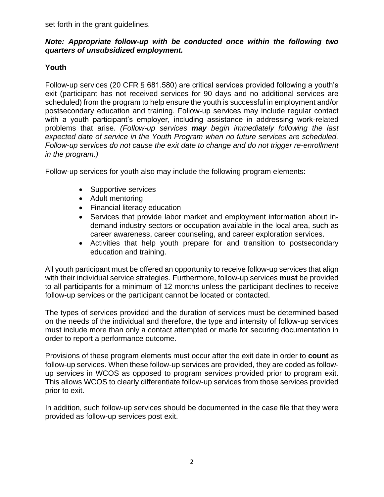set forth in the grant guidelines.

### *Note: Appropriate follow-up with be conducted once within the following two quarters of unsubsidized employment.*

## **Youth**

Follow-up services (20 CFR § 681.580) are critical services provided following a youth's exit (participant has not received services for 90 days and no additional services are scheduled) from the program to help ensure the youth is successful in employment and/or postsecondary education and training. Follow-up services may include regular contact with a youth participant's employer, including assistance in addressing work-related problems that arise. *(Follow-up services may begin immediately following the last expected date of service in the Youth Program when no future services are scheduled. Follow-up services do not cause the exit date to change and do not trigger re-enrollment in the program.)*

Follow-up services for youth also may include the following program elements:

- Supportive services
- Adult mentoring
- Financial literacy education
- Services that provide labor market and employment information about indemand industry sectors or occupation available in the local area, such as career awareness, career counseling, and career exploration services.
- Activities that help youth prepare for and transition to postsecondary education and training.

All youth participant must be offered an opportunity to receive follow-up services that align with their individual service strategies. Furthermore, follow-up services **must** be provided to all participants for a minimum of 12 months unless the participant declines to receive follow-up services or the participant cannot be located or contacted.

The types of services provided and the duration of services must be determined based on the needs of the individual and therefore, the type and intensity of follow-up services must include more than only a contact attempted or made for securing documentation in order to report a performance outcome.

Provisions of these program elements must occur after the exit date in order to **count** as follow-up services. When these follow-up services are provided, they are coded as followup services in WCOS as opposed to program services provided prior to program exit. This allows WCOS to clearly differentiate follow-up services from those services provided prior to exit.

In addition, such follow-up services should be documented in the case file that they were provided as follow-up services post exit.